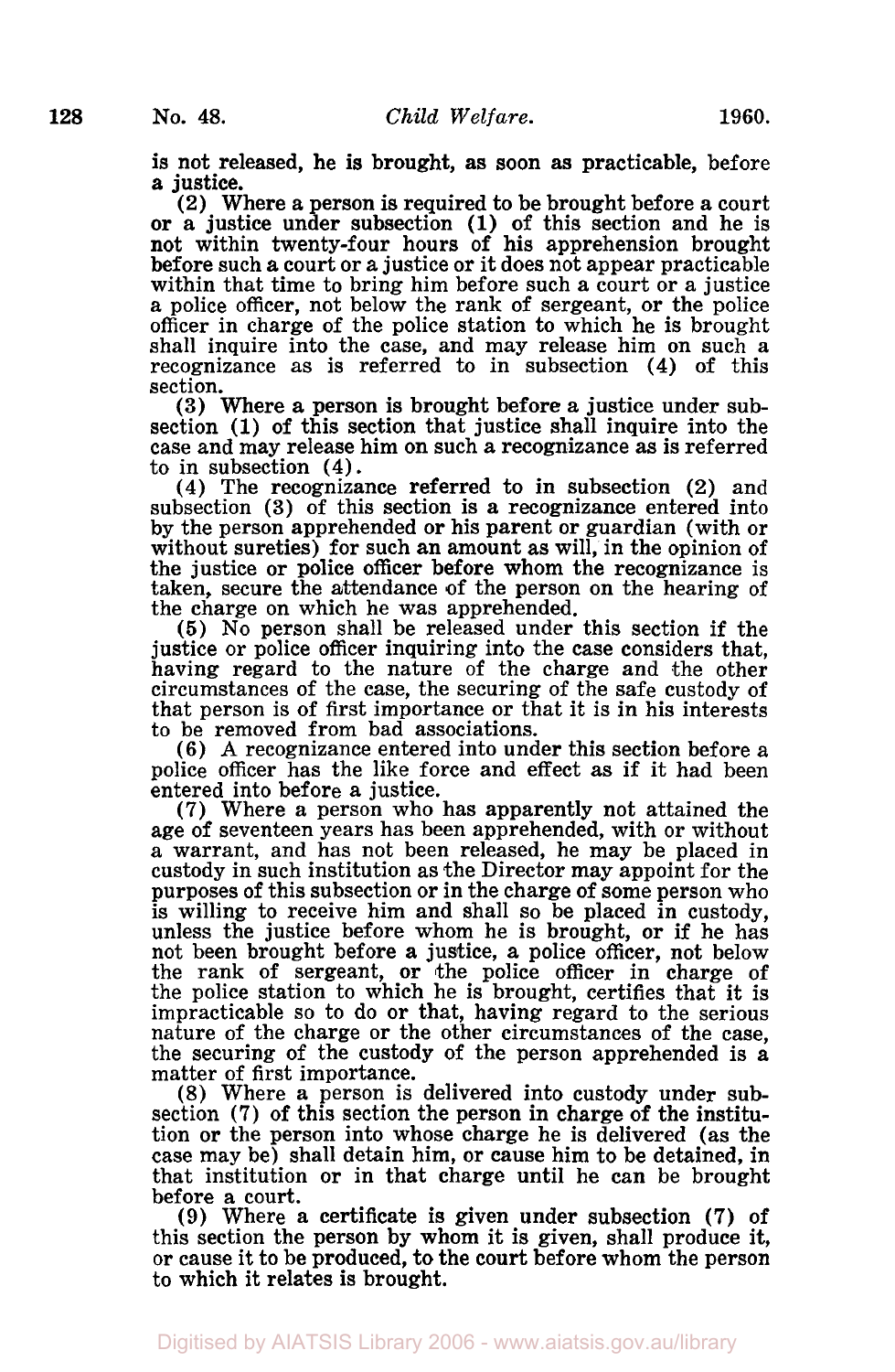is not released, he is brought, as soon as practicable, before *a* justice.

**(2)** Where a person is required to be brought before a court or a justice under subsection **(1)** of this section and he is before such a court or a justice or it does not appear practicable within that time to bring him before such a court or a justice a police officer, not below the rank of sergeant, or the police officer in charge of the police station to which he is brought shall inquire into the case, and may release him on such a recognizance as is referred to in subsection **(4)** of this section.

**(3)** Where a person is brought before a justice under subsection **(1)** of this section that justice shall inquire into the case and may release him on such a recognizance as is referred to in subsection **(4).** 

**(4)** The recognizance referred to in subsection (2) and subsection **(3)** of this section is a recognizance entered into by the person apprehended or his parent or guardian (with or without sureties) for such an amount as will, in the opinion of the justice or police officer before whom the recognizance is taken, secure the attendance of the person on the hearing of the charge on which he was apprehended.

*(5)* No person shall be released under this section if the justice or police officer inquiring into the case considers that. having regard to the nature of the charge and the other circumstances of the case, the securing of the safe custody of that person is of first importance or that it is in his interests to be removed from bad associations.

**(6) A** recognizance entered into under this section before a police officer has the like force and effect as if it had been entered into before a justice.

(7) Where a person who has apparently not attained the age of seventeen years has been apprehended, with or without a warrant, and has not been released, he may be placed in custody in such institution as the Director may appoint for the purposes of this subsection or in the charge of some person who is willing to receive him and shall so be placed in custody. unless the justice before whom he is brought, or if he has not been brought before a justice, a police officer, not below the rank of sergeant, or the police officer in charge of the police station to which he is brought, certifies that it is impracticable so to do or that, having regard to the serious nature of the charge or the other circumstances of the case, the securing of the custody of the person apprehended is a matter of first importance.

(8) Where a person is delivered into custody under subsection **(7)** of this section the person in charge of the institution or the person into whose charge he is delivered (as the case may be) shall detain him, or cause him to be detained, in that institution or in that charge until he can be brought before a court.

(9) Where a certificate is given under subsection **(7)** of this section the person by whom it is given, shall produce it, or cause it to be produced, to the **court** before whom the person to which it relates is brought.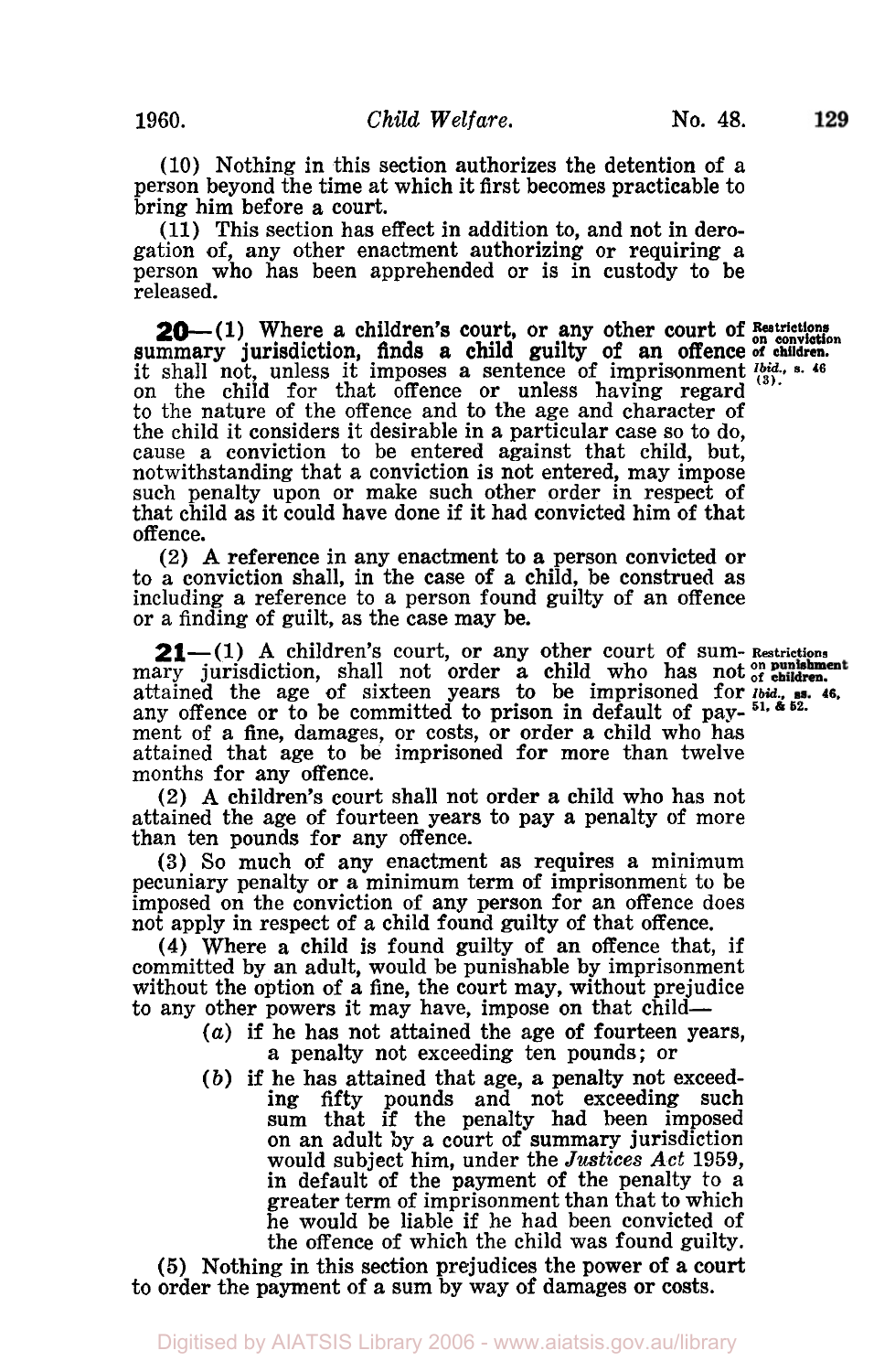129

(10) Nothing in this section authorizes the detention of a person beyond the time at which it first becomes practicable to bring him before a court.

(11) This section has effect in addition to, and not in derogation of, any other enactment authorizing or requiring a person who has been apprehended or is in custody to be released.

**20**—(1) Where a children's court, or any other court of Bestrictions summary jurisdiction, finds a child guilty of an offence of children. on the child for that offence or unless having regard to the nature of the offence and to the age and character of the child it considers it desirable in a particular case so to do, cause *a* conviction to be entered against that child, but, such penalty upon or make such other order in respect of that child as it could have done if it had convicted him of that offence. it shall not, unless it imposes a sentence of importance of employeers it imposes a sentence of importance *Ibid.* **5.** 46

(2) **A** reference in any enactment to a person convicted or to a conviction shall, in the case of a child, be construed as including a reference to a person found guilty of an offence or a finding of guilt, as the case may be.

**21**—(1) A children's court, or any other court of sum-Restrictions mary jurisdiction, shall not order a child who has not of children. attained the age of sixteen years to be imprisoned for *Ibid.,* **46.**  any offence or to be committed to prison in default of pay-<sup>51, & 52.</sup> ment of a fine, damages, or costs, or order a child who has attained that age to be imprisoned for more than twelve months for any offence.

(2) **A** children's court shall not order a child who has not attained the age of fourteen years to pay a penalty of more than ten pounds for any offence.

**(3)** So much of any enactment as requires a minimum pecuniary penalty or a minimum term of imprisonment to be imposed on the conviction of any person for an offence does not apply in respect of *a* child found guilty of that offence.

**(4)** Where a child is found guilty of an offence that, if committed by an adult, would be punishable by imprisonment without the option of a fine, the court may, without prejudice to any other powers it may have, impose on that child-

- *(a)* if he has not attained the age of fourteen years, **a** penalty not exceeding ten pounds; or
- *(b)* if he has attained that age, **a** penalty not exceedfifty pounds and not exceeding such sum that if the penalty had been imposed<br>on an adult by a court of summary jurisdiction would subject him, under the *Justices Act* 1959, in default of the payment of the penalty to a greater term of imprisonment than that to which he would be liable if he had been convicted of the offence of which the child was found guilty.

*(5)* Nothing in this section prejudices the power of a **court**  to order the payment of a sum by way of damages or costs.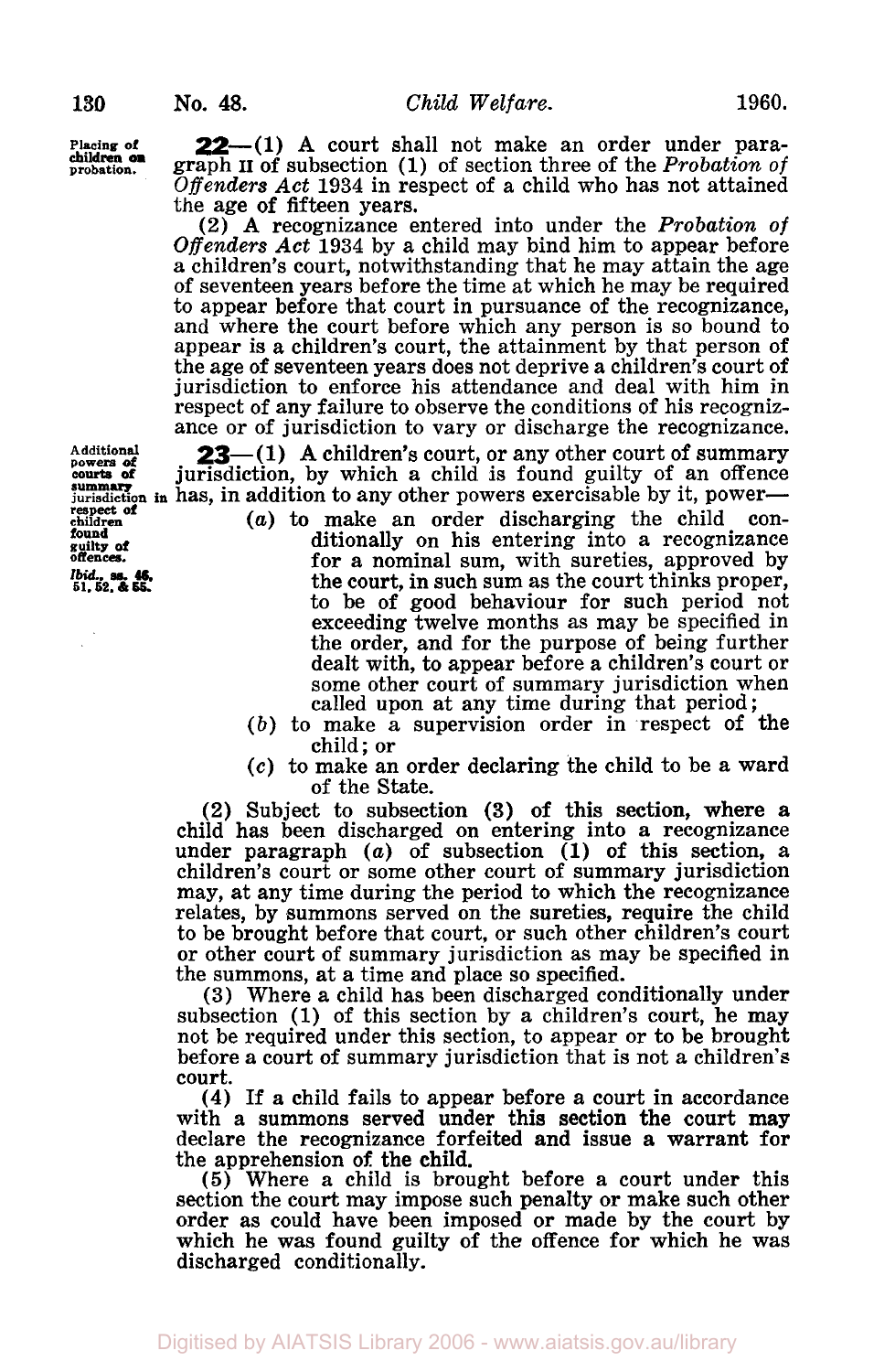**children on** 

**Placing of 22**-(1) A court shall not make an order under para-<br>children on graph II of subsection (1) of section three of the Probation of *Offenders Act* 1934 in respect of a child who has not attained the age of fifteen years.<br>(2) A recognizance entered into under the *Probation of* 

Offenders Act 1934 by a child may bind him to appear before a children's court, notwithstanding that he may attain the age of seventeen years before the time at which he may be required to appear before that court in pursuance of the recognizance, and where the court before which any person is so bound to appear is a children's court, the attainment by that person of the age of seventeen years does not deprive a children's court of jurisdiction to enforce his attendance and deal with him in respect of any failure to observe the conditions of his recognizance or of jurisdiction to vary or discharge the recognizance.

Additional **23**—(1) A children's court, or any other court of summary overs of jurisdiction, by which a child is found guilty of an offence **jurisdiction** in has, in addition to any other powers exercisable by it, power-

- *(a)* to make an order discharging the child conditionally on his entering into a recognizance for a nominal sum, with sureties, approved by the court, in such sum as the court thinks proper, to be of good behaviour for such period not exceeding twelve months as may be specified in the order, and for the purpose of being further dealt with, to appear before a children's court or some other court of summary jurisdiction when called upon at any time during that period;
- *(b)* to make a supervision order in respect of the child; or
- *(c)* to make an order declaring the child to be a ward of the State.

**(2)** Subject to subsection **(3)** of this section, where a child has been discharged on entering into a recognizance under paragraph *(a)* of subsection **(1)** of this section, a children's court or some other court of summary jurisdiction may, at any time during the period to which the recognizance relates, by summons served on the sureties, require the child to be brought before that court, or such other children's court or other court of summary jurisdiction as may be specified in the summons, at **a** time and place so specified.

(3) Where a child has been discharged conditionally under subsection (1) of this section by a children's court, he may not be required under this section, to appear or to be brought before a court of summary jurisdiction that is not a children's court.

**(4)** If a child fails to appear before a court in accordance with a summons served under this section the court may declare the recognizance forfeited and issue a warrant for the apprehension **of** the child.

*(5)* Where a child is brought before a court under this section the court may impose such penalty or make such other<br>order as could have been imposed or made by the court by which he was found guilty of the offence for which he was discharged conditionally.

**Additional powers** *of*  **respect of children found guilty of**  *Ibid. ss* **46 51. 52,** & **55. offences.**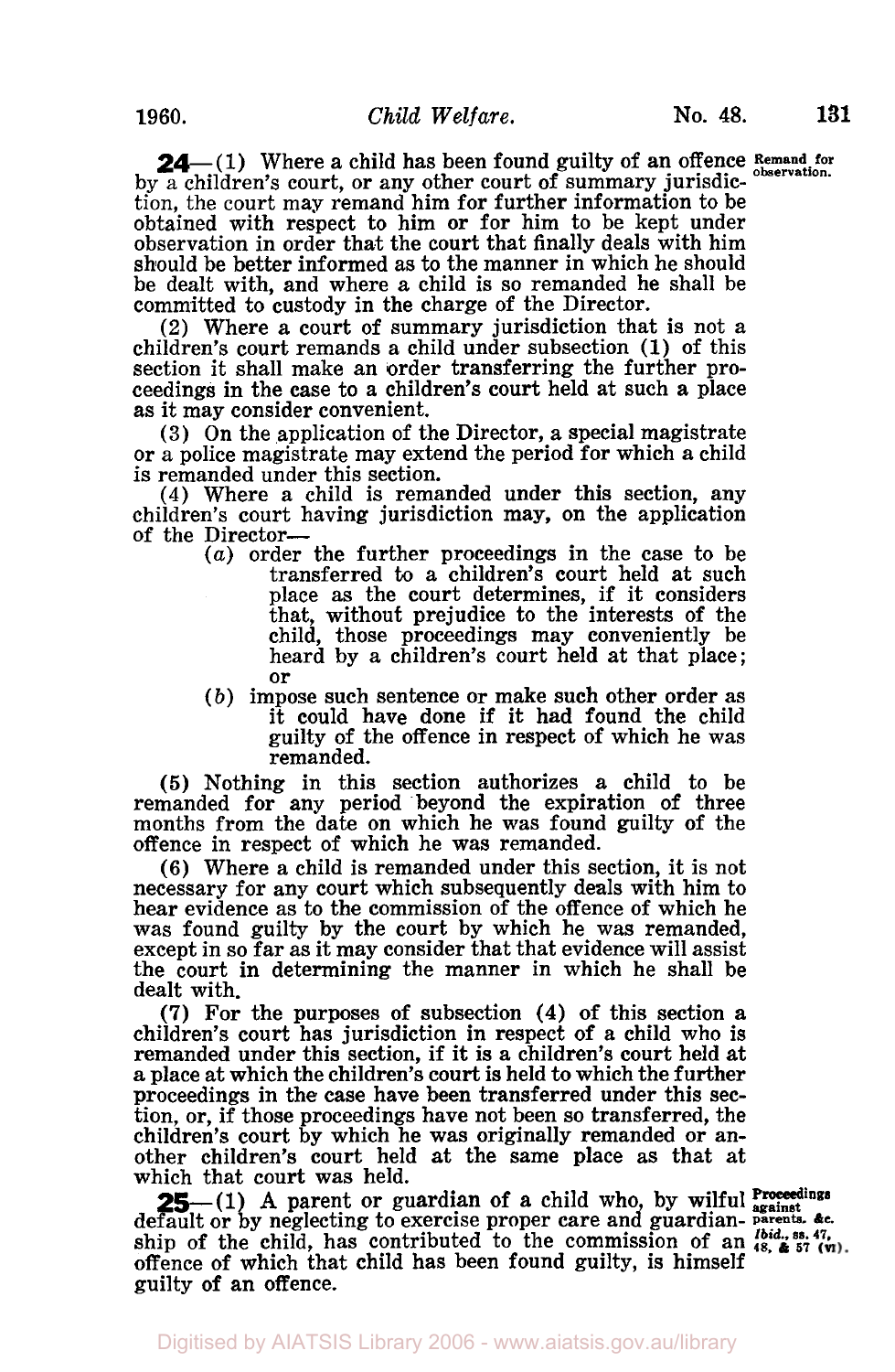**24** (1) Where a child has been found guilty of an offence Remand for **observation.** by **a** children's court, or any other court of summary jurisdic- tion, the court may remand him for further information to be obtained with respect to him or for him to be kept under observation in order that the court that finally deals with him should be better informed as to the manner in which he should be dealt with, and where a child is *so* remanded he shall be committed to custody in the charge of the Director.

(2) Where a court of summary jurisdiction that is not a children's court remands a child under subsection (1) of this section it shall make an order transferring the further proceedings in the case to a children's court held at such a place as it may consider convenient.

**(3)** On the application of the Director, a special magistrate or a police magistrate may extend the period for which a child is remanded under this section.

(4) Where a child is remanded under this section, any children's court having jurisdiction may, on the application of the Director-

- *(a)* order the further proceedings in the case to be transferred to a children's court held at such place as the court determines, if it considers that, without prejudice to the interests of the child, those proceedings may conveniently be heard by a children's court held at that place; or
- *(b)* impose such sentence or make **such** other order as it could have done if it had found the child guilty of the offence in respect of which he was remanded.

*(5)* Nothing in this section authorizes a child to be remanded for any period beyond the expiration of three months from the date on which he was found guilty of the offence in respect of which he was remanded.

(6) Where a child is remanded under this section, it is not necessary for any court which subsequently deals with him to hear evidence as to the commission of the offence of which he was found guilty by the court by which he was remanded, except in so far as it may consider that that evidence will assist the court in determining the manner in which he shall be dealt with.

**(7)** For the purposes of subsection **(4)** of this section **a**  children's court has jurisdiction in respect of a child who is remanded under this section, if it is a children's court held at a place at which the children's court is held to which the further proceedings in the case have been transferred under this section, or, if those proceedings have not been *so* transferred, the children's court by which he was originally remanded or another children's court held at the same place as that at which that court was held.

**25**—(1) A parent or guardian of a child who, by wilful **Proceedings** default or by neglecting to exercise proper care and guardian- parents, &c. ship of the child, has contributed to the commission of an  $^{1}$   $^{48}$ ,  $^{45}$   $^{7}$   $^{7}$ ,  $^{7}$ , offence **of** which that child has been found guilty, is himself guilty of an offence.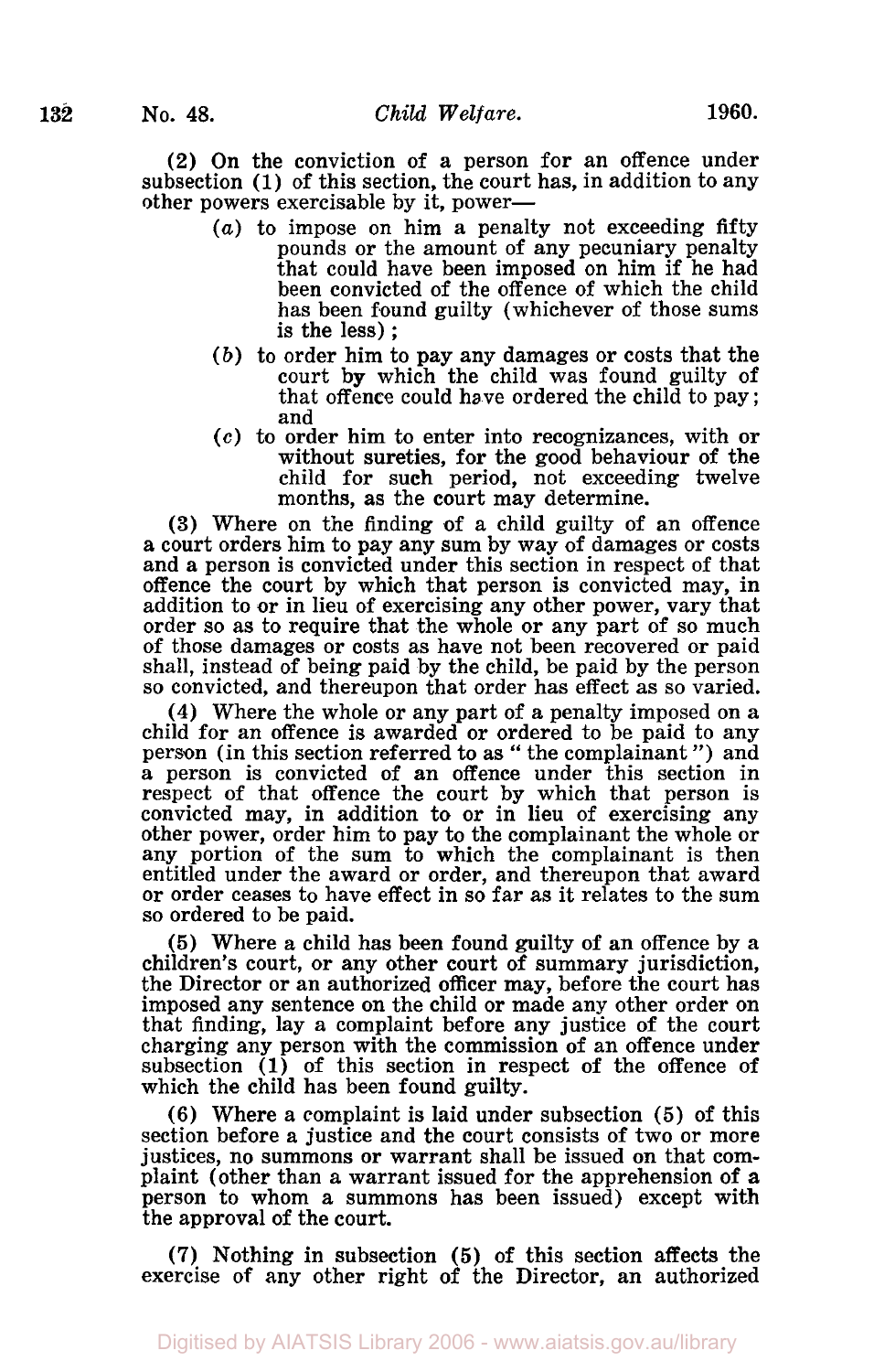**(2)** On the conviction of a person for an offence under subsection **(1)** of this section, the court has, in addition to any other powers exercisable by it, power—

- *(a)* to impose on him a penalty not exceeding fifty pounds or the amount of any pecuniary penalty that could have been imposed on him if he had been convicted of the offence of which the child has been found guilty (whichever of those sums is the less) ;
- *(b)* to order him to pay any damages or costs that the court **by** which the child was found guilty of that offence could have ordered the child to pay; and
- *(c)* to order him to enter into recognizances, with **or**  without sureties, for the good behaviour of the child **for** such period, not exceeding twelve months, as the court may determine.

**(3)** Where on the finding of a child guilty of an offence a court orders him to pay any sum by way of damages or costs and a person is convicted under this section in respect of that offence the court by which that person is convicted may, in addition to or in lieu of exercising any other power, vary that order so as to require that the whole or any part of so much of those damages or costs as have not been recovered or paid shall, instead of being paid by the child, be paid by the person so convicted, and thereupon that order has effect as so varied.

**(4)** Where the whole or any part of a penalty imposed on a child for an offence is awarded or ordered to be paid to any person (in this section referred to as " the complainant ") and a person is convicted of an offence under this section in respect of that offence the court by which that person is convicted may, in addition to or in lieu of exercising any other power, order him to pay to the complainant the whole or any portion of the sum to which the complainant is then entitled under the award or order, and thereupon that award or order ceases to have effect in so far as it relates to the sum so ordered to be paid.

*(5)* Where a child has been found guilty of an offence by a the Director or an authorized officer may, before the court has imposed any sentence on the child or made any other order on that finding, lay a complaint before any justice of the court charging any person with the commission of an offence under subsection **(1)** of this section in respect of the offence of which the child has been found guilty.

**(6)** Where a complaint is laid under subsection *(5)* of this section before a justice and the court consists of two or more justices, no summons or warrant shall be issued on that complaint (other than a warrant issued for the apprehension of **a**  person to whom a summons has been issued) except with the approval of the court.

**(7)** Nothing in subsection **(5)** of this section affects the exercise **of** any other right of the Director, an authorized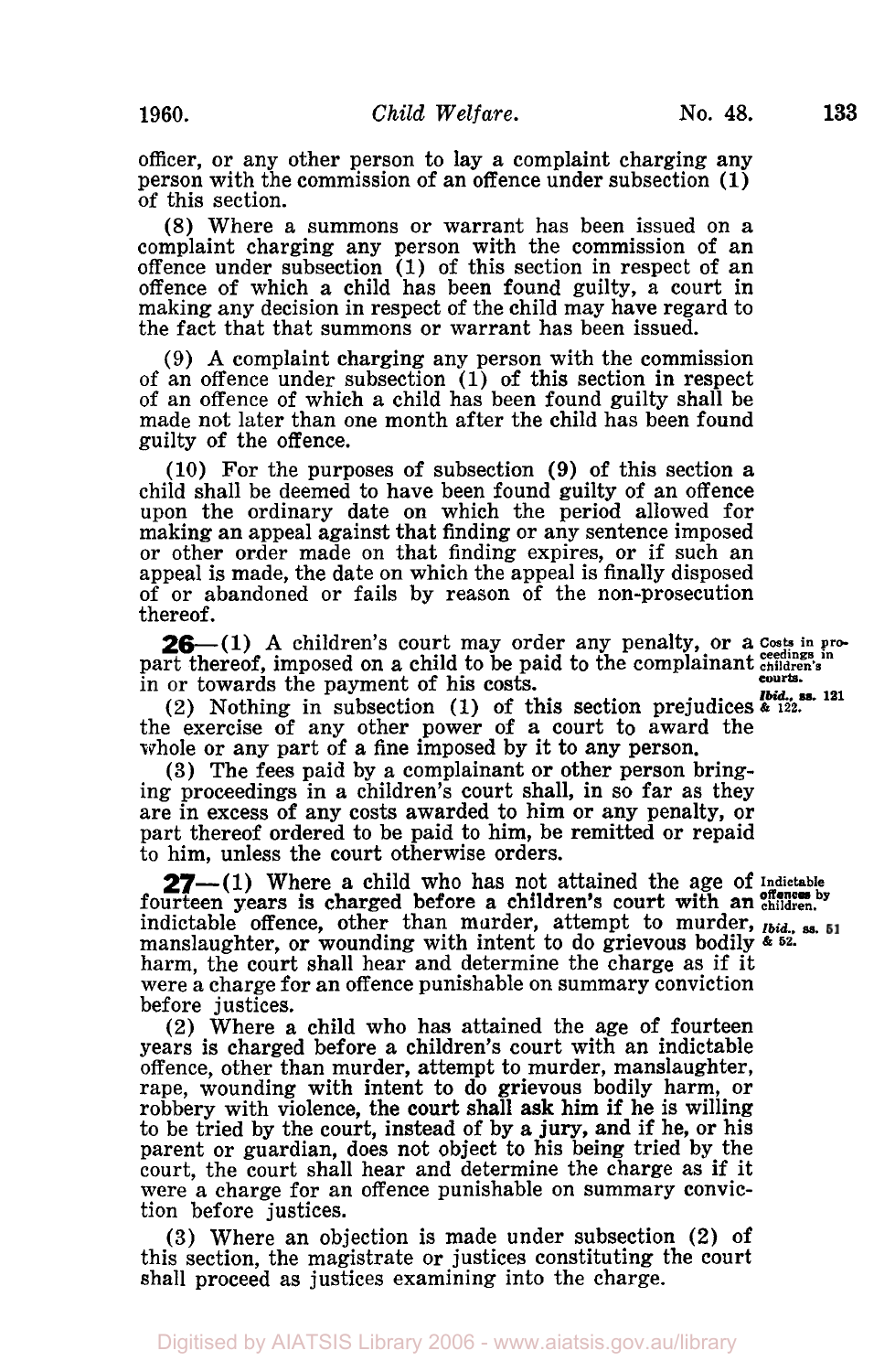officer, or any other person to lay a complaint charging any person with the commission of an offence under subsection **(1)**  of this section.

(8) Where a summons or warrant has been issued on a complaint charging any person with the commission of an offence under subsection (1) of this section in respect of an offence of which a child has been found guilty, a court in making any decision in respect of the child may have regard to the fact that that summons or warrant has been issued.

(9) **A** complaint charging any person with the commission of an offence under subsection (1) of this section in respect of an offence of which a child has been found guilty shall be made not later than one month after the child has been found guilty of the offence.

**(10)** For the purposes of subsection **(9) of** this section a child shall be deemed to have been found guilty of an offence upon the ordinary date on which the period allowed for making an appeal against that finding or any sentence imposed or other order made on that finding expires, **or** if such an appeal is made, the date on which the appeal is finally disposed of or abandoned or fails by reason of the non-prosecution thereof.

**26**—(1) A children's court may order any penalty, or a costs in pro-<br>part thereof, imposed on a child to be paid to the complainant children's in or towards the payment of his costs. **courts.** 

(2) Nothing in subsection (1) of this section prejudices  $\frac{bid.}{\epsilon}$ , ss. 121 **I** the exercise of any other power of a court to award the whole or any part of **a** fine imposed by it to any person.

**(3)** The fees paid by a complainant or other person bring- ing proceedings in a children's court shall, in so far as they are in excess of any costs awarded to him or any penalty, or part thereof ordered to be paid to him, be remitted or repaid to him, unless the court otherwise orders.

fourteen years is charged before a children's court with an **children.**  indictable offence, other than murder, attempt to murder, *Ibid.,* ss. manslaughter, **or** wounding with intent to do grievous bodily & **52.**  harm, the court shall hear and determine the charge as if it were a charge for an offence punishable on summary conviction before justices. **27-(1)** Where a child who has not attained the age of Indictable

(2) Where a child who has attained the age of fourteen years is charged before a children's court with an indictable offence, other than murder, attempt to murder, manslaughter, rape, wounding with intent to do grievous bodily harm, or robbery with violence, the court shall **ask** him if he is willing to be tried by the court, instead of by **a** jury, and if he, or his parent or guardian, does not object to his being tried by the court, the court shall hear and determine the charge as if it were a charge for an offence punishable on summary conviction before justices.

**(3)** Where an objection is made under subsection **(2)** of this section, the magistrate or justices constituting the court shall proceed as justices examining into the charge.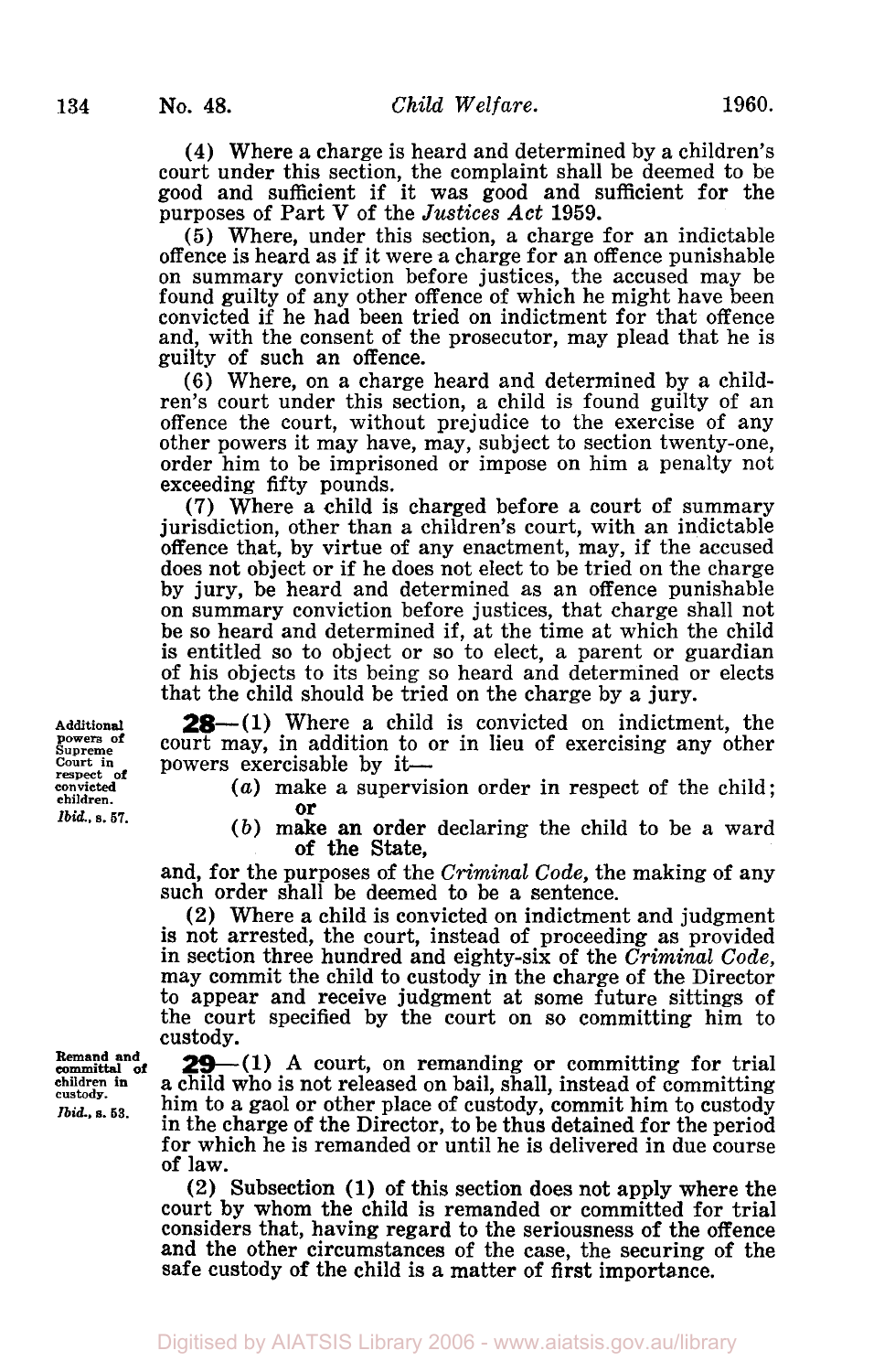**(4)** Where a charge is heard and determined by a children's court under this section, the complaint shall be deemed to be good and sufficient if it was good and sufficient for the purposes of Part V of the *Justices Act* 1959.

*(5)* Where, under this section, a charge for an indictable offence is heard **as** if it were a charge for an offence punishable on summary conviction before justices, the accused may be found guilty of any other offence of which he might have been convicted if he had been tried on indictment for that offence and, with the consent of the prosecutor, may plead that he is guilty of such an offence.

(6) Where, on a charge heard and determined by a children's court under this section, a child is found guilty of an offence the court, without prejudice to the exercise of any other powers it may have, may, subject to section twenty-one, order him to be imprisoned or impose on him a penalty not exceeding fifty pounds.

(7) Where a child is charged before a court of summary jurisdiction, other than a children's court, with an indictable offence that, by virtue of any enactment, may, if the accused does not object or if he does not elect to be tried on the charge by jury, be heard and determined as an offence punishable on summary conviction before justices, that charge shall not be so heard and determined if, at the time at which the child is entitled so to object or so to elect, a parent or guardian of his objects to its being so heard and determined or elects that the child should be tried on the charge by a jury.

**28**—(1) Where a child is convicted on indictment, the court may, in addition to or in lieu of exercising any other powers exercisable by it-

*(a)* make a supervision order in respect of the child; or

*(b)* make an order declaring the child to be a ward of the State,

and, for the purposes of the *Criminal Code,* the making of any such order shall be deemed to be a sentence.

**(2)** Where a child is convicted on indictment and judgment is not arrested, the court, instead of proceeding as provided in section three hundred and eighty-six of the *Criminal Code,*  may commit the child to custody in the charge of the Director to appear and receive judgment at some future sittings **of**  the court specified by the court on so committing him to custody.

**29**-(1) A court, on remanding or committing for trial a child who is not released on bail, shall, instead of committing him to a gaol or other place of custody, commit him to custody<br>in the charge of the Director, to be thus detained for the period<br>for which he is remanded or until he is delivered in due course of law.

**(2)** Subsection (1) **of** this section does not apply where the court by whom the child is remanded or committed for trial considers that, having regard to the seriousness of the offence and the other circumstances of the case, the securing of the safe custody **of** the child is a matter of first importance.

**Additional powers of Supreme Court in respect of convicted children.**  *Ibid.*, s. 57.

**Remand and committal of children in custody.**  *Ibid..* **s. 53.**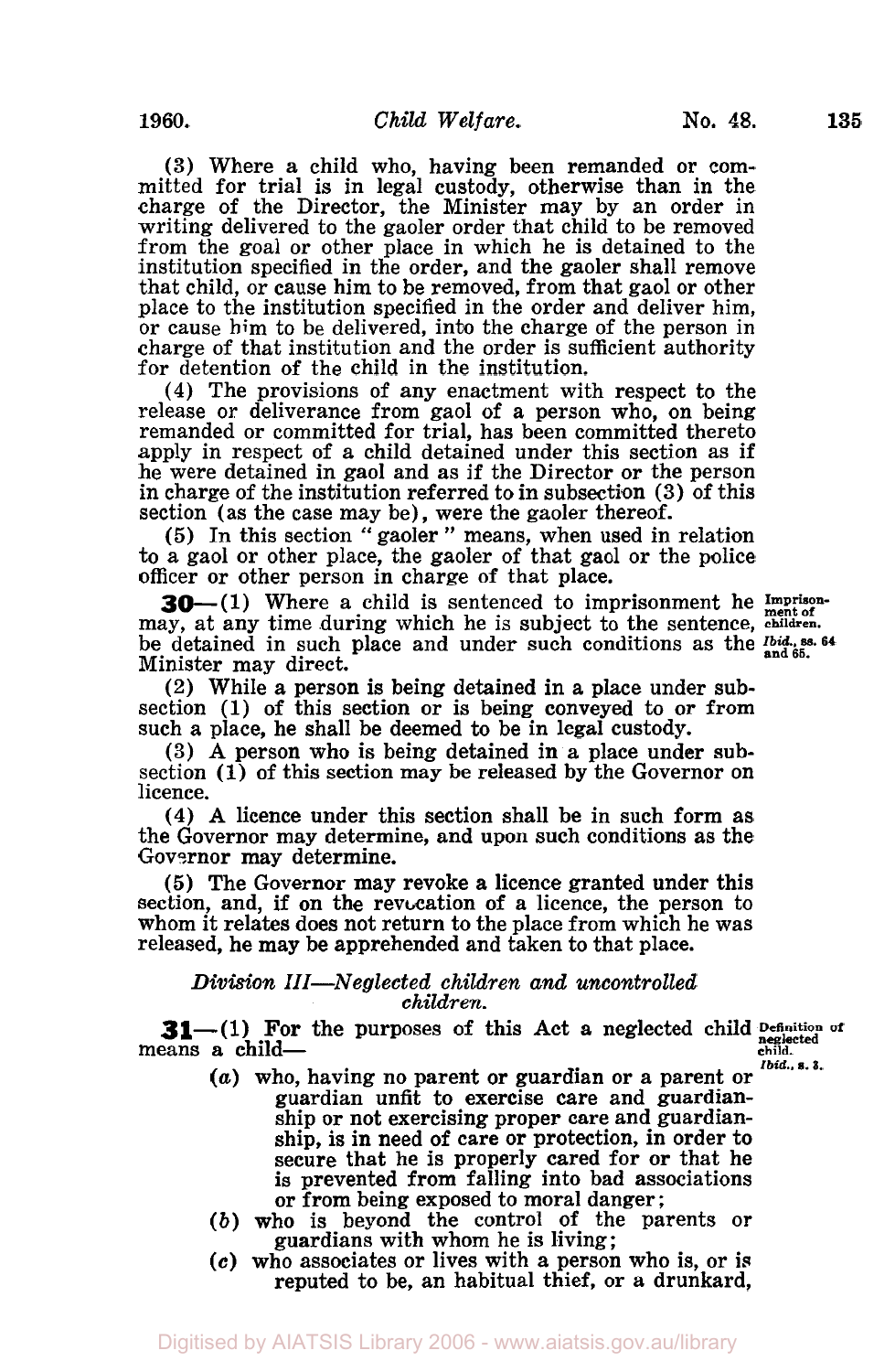**(3)** Where a child who, having been remanded or committed for trial is in legal custody, otherwise than in the charge of the Director, the Minister may by an order in writing delivered to the gaoler order that child to be removed from the goal or other place in which he is detained to the institution specified in the order, and the gaoler shall remove that child, or cause him to be removed, from that gaol or other place to the institution specified in the order and deliver him, or cause him to be delivered, into the charge of the person in charge of that institution and the order is sufficient authority for detention of the child in the institution.

**(4)** The provisions of any enactment with respect to the release or deliverance from gaol of a person who, on being remanded **or** committed for trial, has been committed thereto apply in respect of a child detained under this section as if he were detained in gaol and as if the Director or the person in charge of the institution referred to in subsection **(3)** of this section (as the case may be), were the gaoler thereof.

*(5)* In this section " gaoler " means, when used in relation to a gaol or other place, the gaoler of that gaol **or** the police officer or other person in charge of that place.

**3O-(l)** Where a child is sentenced to imprisonment he *Imprisonment of*  may, at any time during which he is subject to the sentence, **children.**  be detained in such place and under such conditions as the **Ibid., ss. 64 and 65**  Minister may direct.

**(2)** While a person is being detained in a place under subsection (1) of this section or is being conveyed to or from such a place, he shall be deemed to be in legal custody.

**(3) A** person who is being detained in a place under subsection (1) of this section may be released by the Governor on licence.

**(4) A** licence under this section shall be in such form as the Governor may determine, and upon such conditions as the Governor may determine.

*(5)* The Governor may revoke a licence granted under this section, and, if on the revocation of a licence, the person to whom it relates does not return to the place from which he was released, he may be apprehended and taken to that place.

## *Division 111-Neglected children and uncontrolled children.*

**31**—(1) For the purposes of this Act a neglected child Definition of **agglected** child **Definition** of **pagglected** means a child-*Ibid..* **s.** *3.* 

- *(a)* who, having no parent or guardian or a parent or guardian unfit to exercise care and guardian- ship or not exercising proper care and guardianship, is in need of care or protection, in order to secure that he is properly cared for or that he is prevented from falling into bad associations is prevented from falling into bad assoc<br>or from being exposed to moral danger;
- *(b)* who is beyond the control of the parents or guardians with whom he is living;
- **(c)** who associates or lives with a person who is, or is reputed to be, an habitual thief, or a drunkard,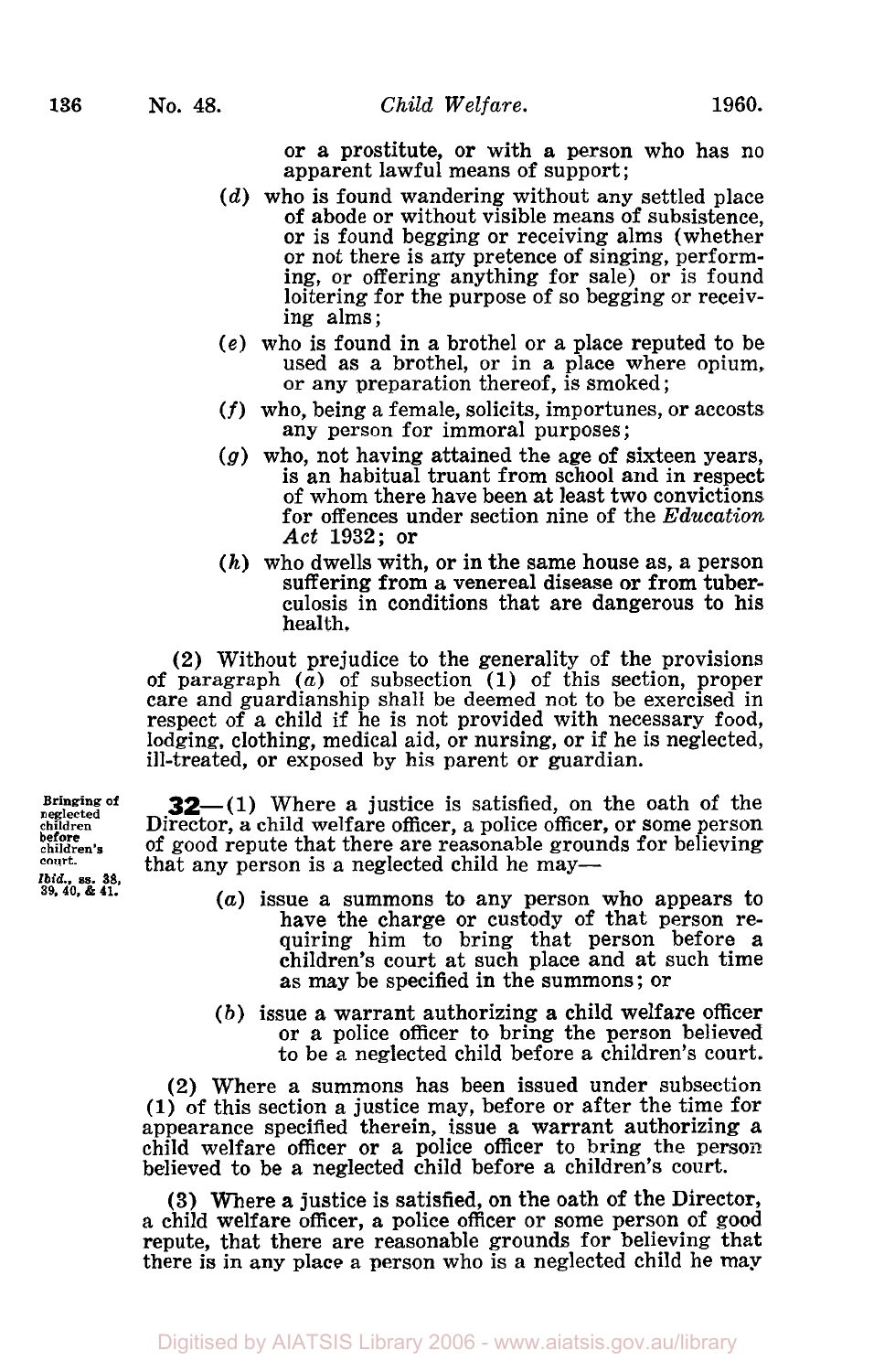or a prostitute, or with a person who has no apparent lawful means of support ;

- *(d)* who is found wandering without any settled place **of** abode or without visible means **of** subsistence, or is found begging or receiving alms (whether<br>or not there is any pretence of singing, performing, or offering anything for sale) or is found loitering for the purpose of so begging or receiving alms;
- **(e)** who is found in a brothel or a place reputed to be used as a brothel, or in a place where opium, or any preparation thereof, is smoked;
- (f) who, being a female, solicits, importunes, or accosts any person for immoral purposes;
- *(g)* who, not having attained the age **of** sixteen years, is an habitual truant from school and in respect of whom there have been at least two convictions for offences under section nine of the *Education Act* **1932;** or
- *(h)* who dwells with, or in the same house as, a person suffering from a venereal disease or from tuberculosis in conditions that are dangerous to his health.

(2) Without prejudice to the generality of the provisions of paragraph *(a)* of subsection **(1)** of this section, proper care and guardianship shall be deemed not to be exercised in respect of a child if he is not provided with necessary food, lodging, clothing, medical aid, or nursing, or if he is neglected, ill-treated, or exposed by his parent or guardian.

**32**-(1) Where a justice is satisfied, on the oath of the Director, a child welfare officer, a police officer, or some person of good repute that there are reasonable grounds for believing that any person is a neglected child he may—

- *(a)* issue a summons to any person who appears to have the charge or custody of that person requiring him to bring that person before a children's court at such place and at such time as may be specified in the summons ; or
- *(b)* issue a warrant authorizing a child welfare officer or a police officer to bring the person believed to be a neglected child before a children's court.

(2) Where a summons has been issued under subsection **(1)** of this section a justice may, before or after the time for appearance specified therein, issue a warrant authorizing a child welfare officer or a police officer to bring the person believed to be a neglected child before a children's court.

**(3)** Where a justice is satisfied, on the oath **of** the Director, a child welfare officer, a police officer or some person of **good**  repute, that there are reasonable grounds for believing that there is in any place a person who is a neglected child he may

**Bringing** of **children children's court. before**  *Ibid* **ss 38 39, 40,** & **41.'**